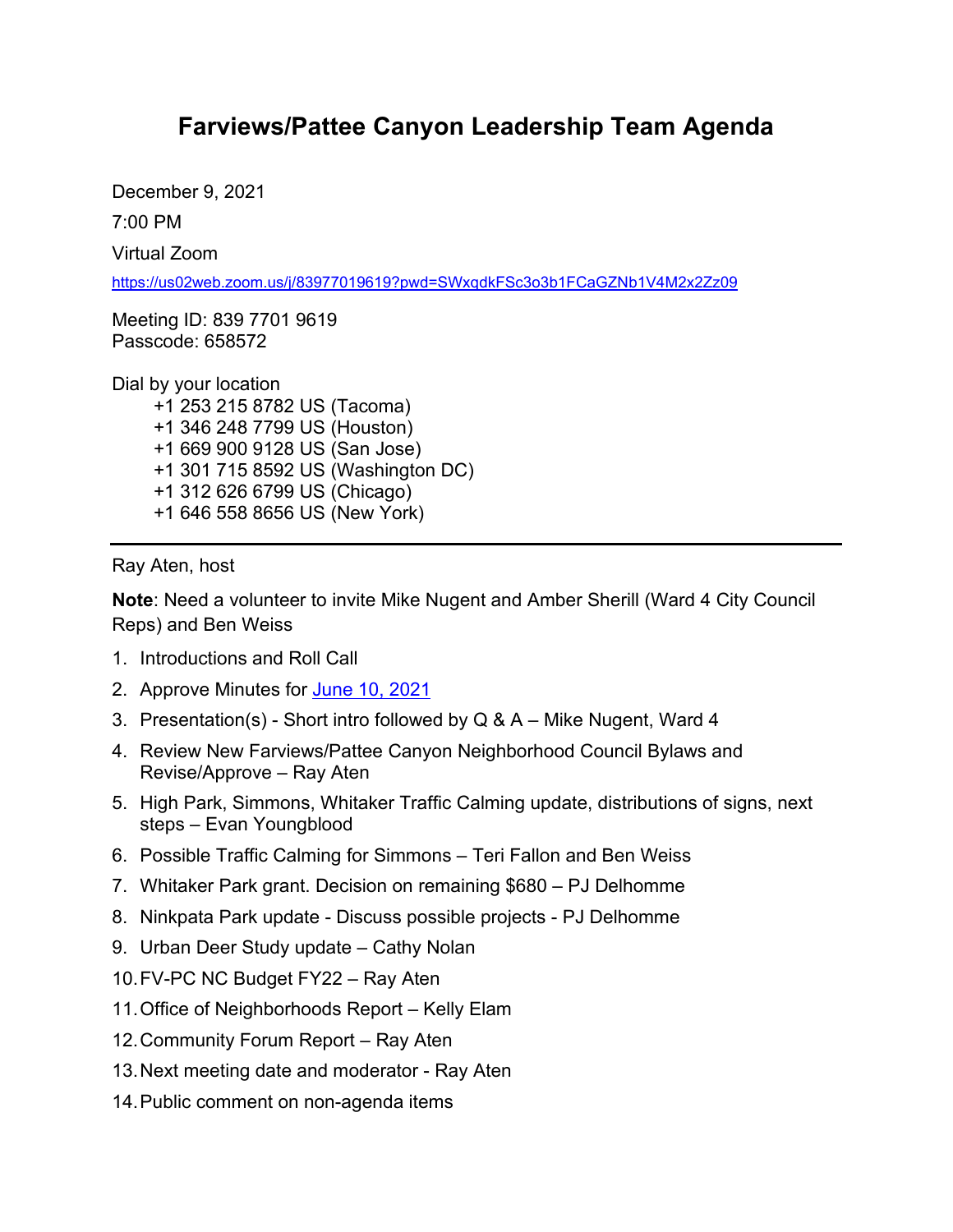## **Farviews/Pattee Canyon Leadership Team Agenda**

December 9, 2021 7:00 PM

Virtual Zoom

<https://us02web.zoom.us/j/83977019619?pwd=SWxqdkFSc3o3b1FCaGZNb1V4M2x2Zz09>

Meeting ID: 839 7701 9619 Passcode: 658572

Dial by your location +1 253 215 8782 US (Tacoma) +1 346 248 7799 US (Houston) +1 669 900 9128 US (San Jose) +1 301 715 8592 US (Washington DC) +1 312 626 6799 US (Chicago) +1 646 558 8656 US (New York)

Ray Aten, host

**Note**: Need a volunteer to invite Mike Nugent and Amber Sherill (Ward 4 City Council Reps) and Ben Weiss

- 1. Introductions and Roll Call
- 2. Approve Minutes for [June 10,](https://www.ci.missoula.mt.us/Archive.aspx?ADID=16205) 2021
- 3. Presentation(s) Short intro followed by Q & A Mike Nugent, Ward 4
- 4. Review New Farviews/Pattee Canyon Neighborhood Council Bylaws and Revise/Approve – Ray Aten
- 5. High Park, Simmons, Whitaker Traffic Calming update, distributions of signs, next steps – Evan Youngblood
- 6. Possible Traffic Calming for Simmons Teri Fallon and Ben Weiss
- 7. Whitaker Park grant. Decision on remaining \$680 PJ Delhomme
- 8. Ninkpata Park update Discuss possible projects PJ Delhomme
- 9. Urban Deer Study update Cathy Nolan
- 10.FV-PC NC Budget FY22 Ray Aten
- 11.Office of Neighborhoods Report Kelly Elam
- 12.Community Forum Report Ray Aten
- 13.Next meeting date and moderator Ray Aten
- 14.Public comment on non-agenda items